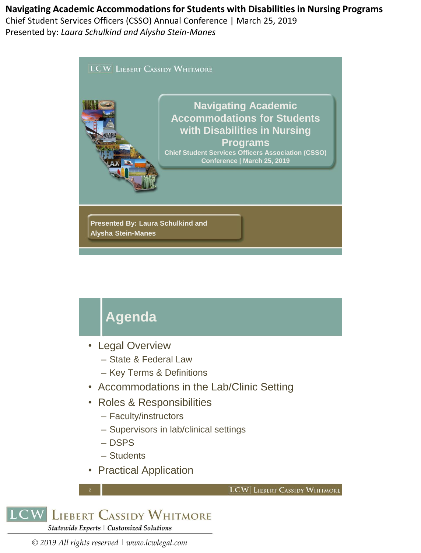Chief Student Services Officers (CSSO) Annual Conference | March 25, 2019 Presented by: *Laura Schulkind and Alysha Stein-Manes*



# **Agenda**

- Legal Overview
	- State & Federal Law
	- Key Terms & Definitions
- Accommodations in the Lab/Clinic Setting
- Roles & Responsibilities
	- Faculty/instructors
	- Supervisors in lab/clinical settings
	- DSPS
	- Students
- Practical Application

```
LCW LIEBERT CASSIDY WHITMORE
```


2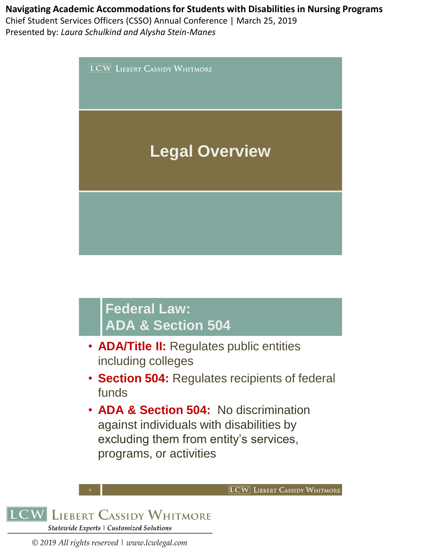Chief Student Services Officers (CSSO) Annual Conference | March 25, 2019 Presented by: *Laura Schulkind and Alysha Stein-Manes*



• **ADA & Section 504:** No discrimination against individuals with disabilities by excluding them from entity's services, programs, or activities



4

**LCW** LIEBERT CASSIDY WHITMORE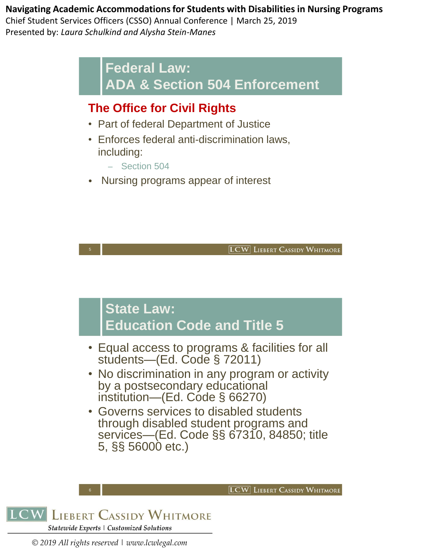Chief Student Services Officers (CSSO) Annual Conference | March 25, 2019 Presented by: *Laura Schulkind and Alysha Stein-Manes*

> **Federal Law: ADA & Section 504 Enforcement**

## **The Office for Civil Rights**

- Part of federal Department of Justice
- Enforces federal anti-discrimination laws, including:
	- Section 504
- Nursing programs appear of interest

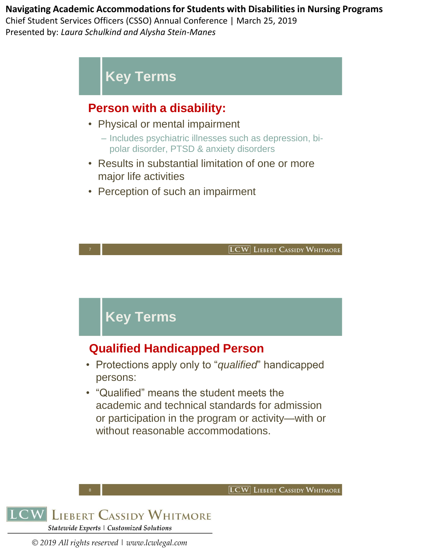Chief Student Services Officers (CSSO) Annual Conference | March 25, 2019 Presented by: *Laura Schulkind and Alysha Stein-Manes*

# **Key Terms**

## **Person with a disability:**

- Physical or mental impairment
	- ‒ Includes psychiatric illnesses such as depression, bipolar disorder, PTSD & anxiety disorders
- Results in substantial limitation of one or more major life activities
- Perception of such an impairment

**LCW** LIEBERT CASSIDY WHITMORE

**LCW** LIEBERT CASSIDY WHITMORE

# **Key Terms**

7

## **Qualified Handicapped Person**

- Protections apply only to "*qualified*" handicapped persons:
- "Qualified" means the student meets the academic and technical standards for admission or participation in the program or activity—with or without reasonable accommodations.

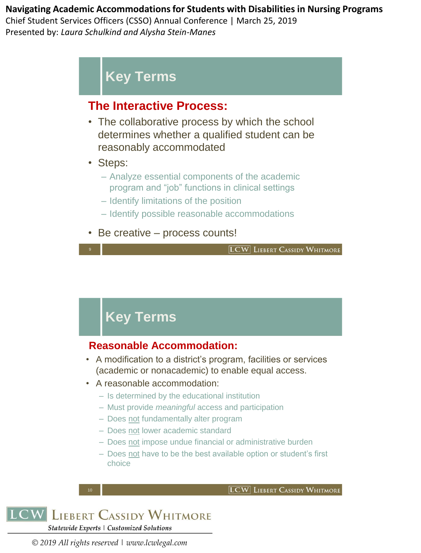Chief Student Services Officers (CSSO) Annual Conference | March 25, 2019 Presented by: *Laura Schulkind and Alysha Stein-Manes*

# **Key Terms**

## **The Interactive Process:**

- The collaborative process by which the school determines whether a qualified student can be reasonably accommodated
- Steps:
	- Analyze essential components of the academic program and "job" functions in clinical settings
	- Identify limitations of the position
	- Identify possible reasonable accommodations
- Be creative process counts!

**LCW** LIEBERT CASSIDY WHITMORE

# **Key Terms**

## **Reasonable Accommodation:**

- A modification to a district's program, facilities or services (academic or nonacademic) to enable equal access.
- A reasonable accommodation:
	- Is determined by the educational institution
	- Must provide *meaningful* access and participation
	- Does not fundamentally alter program
	- Does not lower academic standard
	- Does not impose undue financial or administrative burden
	- Does not have to be the best available option or student's first choice

**LCW** LIEBERT CASSIDY WHITMORE

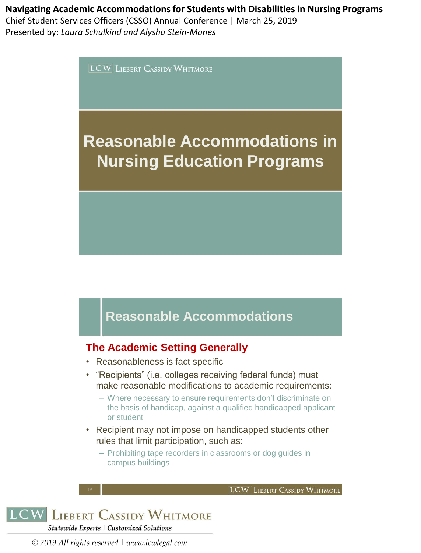### **Navigating Academic Accommodations for Students with Disabilities in Nursing Programs**  Chief Student Services Officers (CSSO) Annual Conference | March 25, 2019 Presented by: *Laura Schulkind and Alysha Stein-Manes*

**LCW** LIEBERT CASSIDY WHITMORE

# **Reasonable Accommodations in Nursing Education Programs**

# **Reasonable Accommodations**

### **The Academic Setting Generally**

- Reasonableness is fact specific
- "Recipients" (i.e. colleges receiving federal funds) must make reasonable modifications to academic requirements:
	- Where necessary to ensure requirements don't discriminate on the basis of handicap, against a qualified handicapped applicant or student

**LCW** LIEBERT CASSIDY WHITMORE

- Recipient may not impose on handicapped students other rules that limit participation, such as:
	- Prohibiting tape recorders in classrooms or dog guides in campus buildings



12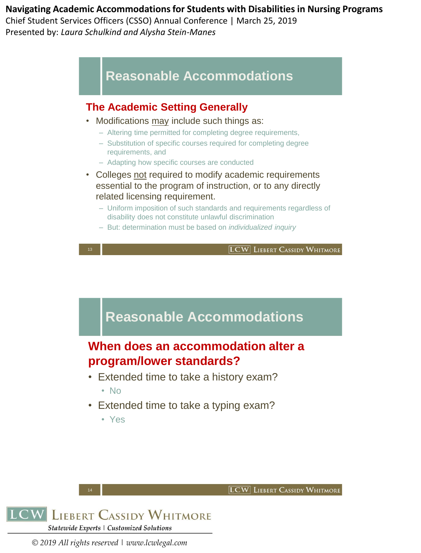Chief Student Services Officers (CSSO) Annual Conference | March 25, 2019 Presented by: *Laura Schulkind and Alysha Stein-Manes*

## **Reasonable Accommodations**

### **The Academic Setting Generally**

- Modifications may include such things as:
	- Altering time permitted for completing degree requirements,
	- Substitution of specific courses required for completing degree requirements, and
	- Adapting how specific courses are conducted
- Colleges not required to modify academic requirements essential to the program of instruction, or to any directly related licensing requirement.
	- Uniform imposition of such standards and requirements regardless of disability does not constitute unlawful discrimination
	- But: determination must be based on *individualized inquiry*





- No
- Extended time to take a typing exam?
	- Yes





14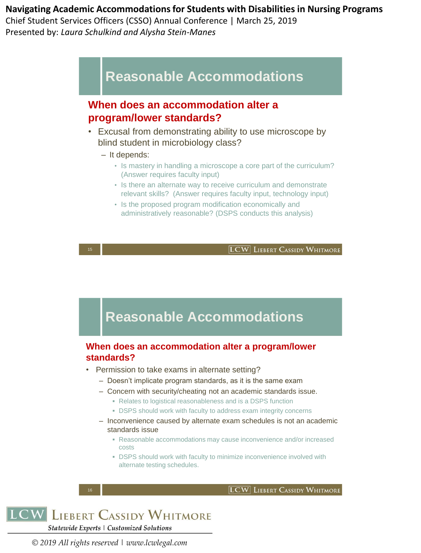Chief Student Services Officers (CSSO) Annual Conference | March 25, 2019 Presented by: *Laura Schulkind and Alysha Stein-Manes*

## **Reasonable Accommodations**

### **When does an accommodation alter a program/lower standards?**

- Excusal from demonstrating ability to use microscope by blind student in microbiology class?
	- It depends:
		- Is mastery in handling a microscope a core part of the curriculum? (Answer requires faculty input)
		- Is there an alternate way to receive curriculum and demonstrate relevant skills? (Answer requires faculty input, technology input)
		- Is the proposed program modification economically and administratively reasonable? (DSPS conducts this analysis)

**LCW LIEBERT CASSIDY WHITMORE** 

## **Reasonable Accommodations**

#### **When does an accommodation alter a program/lower standards?**

- Permission to take exams in alternate setting?
	- Doesn't implicate program standards, as it is the same exam
	- Concern with security/cheating not an academic standards issue.
		- **Relates to logistical reasonableness and is a DSPS function**
		- **DSPS should work with faculty to address exam integrity concerns**
	- Inconvenience caused by alternate exam schedules is not an academic standards issue
		- Reasonable accommodations may cause inconvenience and/or increased costs
		- **DSPS should work with faculty to minimize inconvenience involved with** alternate testing schedules.

```
LCW LIEBERT CASSIDY WHITMORE
Statewide Experts | Customized Solutions
```
*© 2019 All rights reserved | www.lcwlegal.com*

16

**LCW** LIEBERT CASSIDY WHITMORE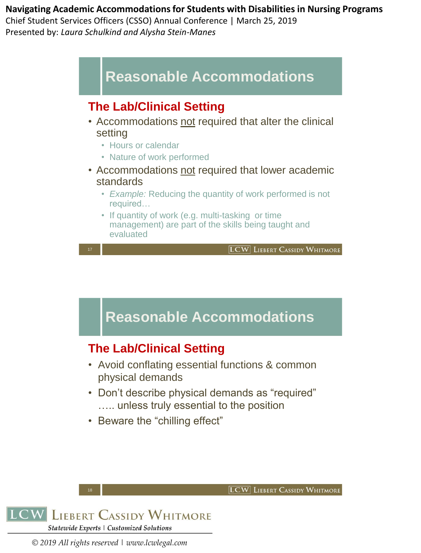Chief Student Services Officers (CSSO) Annual Conference | March 25, 2019 Presented by: *Laura Schulkind and Alysha Stein-Manes*



## **The Lab/Clinical Setting**

- Accommodations not required that alter the clinical setting
	- Hours or calendar
	- Nature of work performed
- Accommodations not required that lower academic standards
	- *Example:* Reducing the quantity of work performed is not required…
	- If quantity of work (e.g. multi-tasking or time management) are part of the skills being taught and evaluated

17

**LCW** LIEBERT CASSIDY WHITMORE

**LCW** LIEBERT CASSIDY WHITMORE

# **Reasonable Accommodations**

## **The Lab/Clinical Setting**

- Avoid conflating essential functions & common physical demands
- Don't describe physical demands as "required" ….. unless truly essential to the position
- Beware the "chilling effect"



18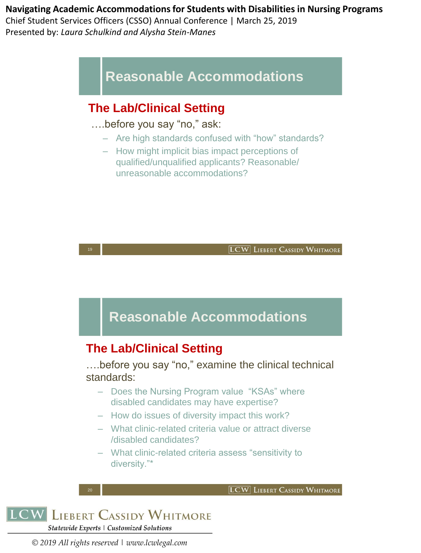Chief Student Services Officers (CSSO) Annual Conference | March 25, 2019 Presented by: *Laura Schulkind and Alysha Stein-Manes*

# **Reasonable Accommodations**

## **The Lab/Clinical Setting**

….before you say "no," ask:

- Are high standards confused with "how" standards?
- How might implicit bias impact perceptions of qualified/unqualified applicants? Reasonable/ unreasonable accommodations?



**LCW LIEBERT CASSIDY WHITMORE** Statewide Experts | Customized Solutions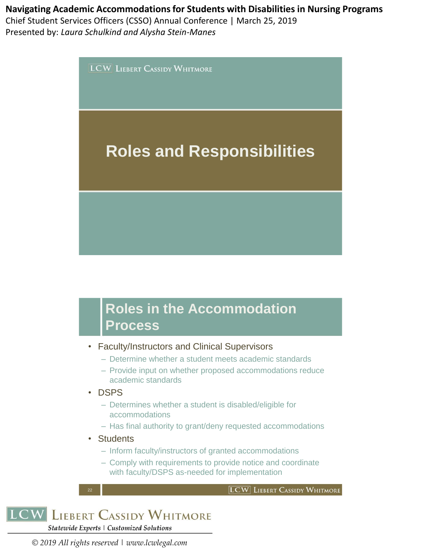Chief Student Services Officers (CSSO) Annual Conference | March 25, 2019 Presented by: *Laura Schulkind and Alysha Stein-Manes*

**LCW** LIEBERT CASSIDY WHITMORE

# **Roles and Responsibilities**

# **Roles in the Accommodation Process**

- Faculty/Instructors and Clinical Supervisors
	- Determine whether a student meets academic standards
	- Provide input on whether proposed accommodations reduce academic standards
- DSPS
	- Determines whether a student is disabled/eligible for accommodations
	- Has final authority to grant/deny requested accommodations
- Students
	- Inform faculty/instructors of granted accommodations
	- Comply with requirements to provide notice and coordinate with faculty/DSPS as-needed for implementation





22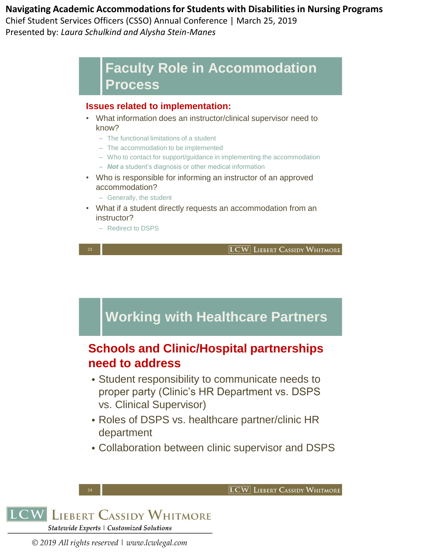Chief Student Services Officers (CSSO) Annual Conference | March 25, 2019 Presented by: *Laura Schulkind and Alysha Stein-Manes*

## **Faculty Role in Accommodation Process**

#### **Issues related to implementation:**

- What information does an instructor/clinical supervisor need to know?
	- The functional limitations of a student
	- The accommodation to be implemented
	- Who to contact for support/guidance in implementing the accommodation
	- *Not* a student's diagnosis or other medical information
- Who is responsible for informing an instructor of an approved accommodation?
	- Generally, the student
- What if a student directly requests an accommodation from an instructor?
	- Redirect to DSPS

23

**LCW LIEBERT CASSIDY WHITMORE** 

**LCW** LIEBERT CASSIDY WHITMORE

# **Working with Healthcare Partners**

## **Schools and Clinic/Hospital partnerships need to address**

- Student responsibility to communicate needs to proper party (Clinic's HR Department vs. DSPS vs. Clinical Supervisor)
- Roles of DSPS vs. healthcare partner/clinic HR department
- Collaboration between clinic supervisor and DSPS



24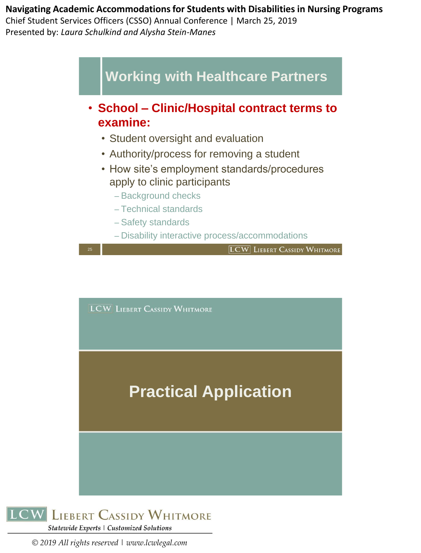**Navigating Academic Accommodations for Students with Disabilities in Nursing Programs**  Chief Student Services Officers (CSSO) Annual Conference | March 25, 2019

Presented by: *Laura Schulkind and Alysha Stein-Manes*



**LCW LIEBERT CASSIDY WHITMORE** 

# **Practical Application**

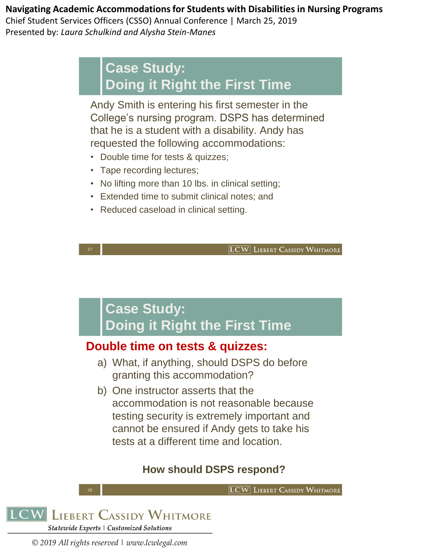Chief Student Services Officers (CSSO) Annual Conference | March 25, 2019 Presented by: *Laura Schulkind and Alysha Stein-Manes*

# **Case Study: Doing it Right the First Time**

Andy Smith is entering his first semester in the College's nursing program. DSPS has determined that he is a student with a disability. Andy has requested the following accommodations:

- Double time for tests & quizzes;
- Tape recording lectures;
- No lifting more than 10 lbs. in clinical setting;
- Extended time to submit clinical notes; and
- Reduced caseload in clinical setting.

**LCW** LIEBERT CASSIDY WHITMORE

# **Case Study: Doing it Right the First Time**

## **Double time on tests & quizzes:**

- a) What, if anything, should DSPS do before granting this accommodation?
- b) One instructor asserts that the accommodation is not reasonable because testing security is extremely important and cannot be ensured if Andy gets to take his tests at a different time and location.

## **How should DSPS respond?**

**LCW** LIEBERT CASSIDY WHITMORE



28

27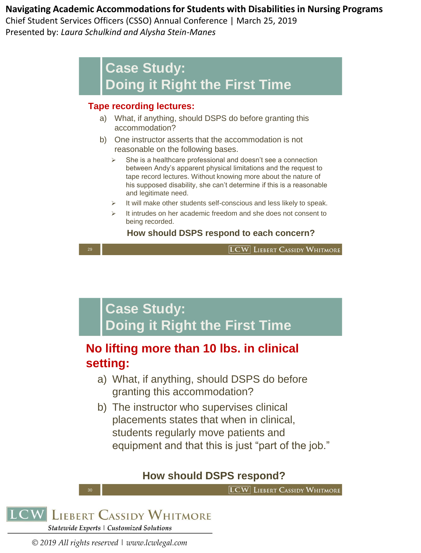Chief Student Services Officers (CSSO) Annual Conference | March 25, 2019 Presented by: *Laura Schulkind and Alysha Stein-Manes*

# **Case Study: Doing it Right the First Time**

#### **Tape recording lectures:**

- a) What, if anything, should DSPS do before granting this accommodation?
- b) One instructor asserts that the accommodation is not reasonable on the following bases.
	- She is a healthcare professional and doesn't see a connection between Andy's apparent physical limitations and the request to tape record lectures. Without knowing more about the nature of his supposed disability, she can't determine if this is a reasonable and legitimate need.
	- ➢ It will make other students self-conscious and less likely to speak.
	- It intrudes on her academic freedom and she does not consent to being recorded.

#### **How should DSPS respond to each concern?**

**LCW LIEBERT CASSIDY WHITMORE** 

# **Case Study: Doing it Right the First Time**

## **No lifting more than 10 lbs. in clinical setting:**

- a) What, if anything, should DSPS do before granting this accommodation?
- b) The instructor who supervises clinical placements states that when in clinical, students regularly move patients and equipment and that this is just "part of the job."

## **How should DSPS respond?**

**LCW** LIEBERT CASSIDY WHITMORE



30

29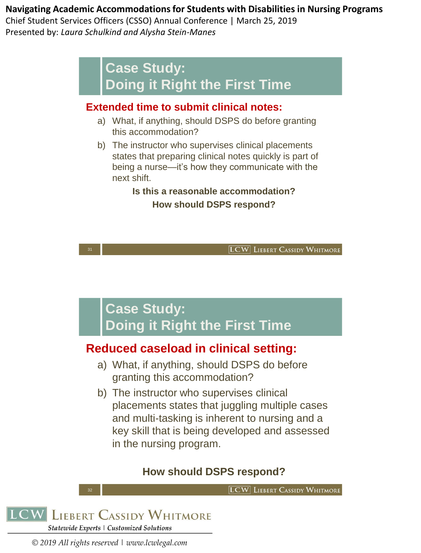Chief Student Services Officers (CSSO) Annual Conference | March 25, 2019 Presented by: *Laura Schulkind and Alysha Stein-Manes*

# **Case Study: Doing it Right the First Time**

## **Extended time to submit clinical notes:**

- a) What, if anything, should DSPS do before granting this accommodation?
- b) The instructor who supervises clinical placements states that preparing clinical notes quickly is part of being a nurse—it's how they communicate with the next shift.

### **Is this a reasonable accommodation? How should DSPS respond?**

**LCW** LIEBERT CASSIDY WHITMORE

# **Case Study: Doing it Right the First Time**

## **Reduced caseload in clinical setting:**

- a) What, if anything, should DSPS do before granting this accommodation?
- b) The instructor who supervises clinical placements states that juggling multiple cases and multi-tasking is inherent to nursing and a key skill that is being developed and assessed in the nursing program.

## **How should DSPS respond?**

**LCW** LIEBERT CASSIDY WHITMORE



32

31